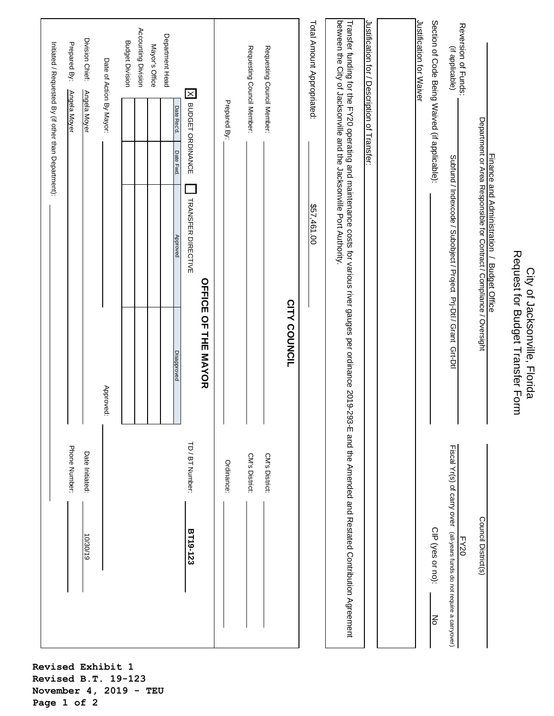| Phone Number:                                                                                                                                                       |                                                                   |                                                                                                                    | Initiated / Requested By (if other than Department):<br>Prepared By:<br>Angela Moyer |
|---------------------------------------------------------------------------------------------------------------------------------------------------------------------|-------------------------------------------------------------------|--------------------------------------------------------------------------------------------------------------------|--------------------------------------------------------------------------------------|
|                                                                                                                                                                     | $\vert$                                                           |                                                                                                                    |                                                                                      |
| Date Initiated:<br>61/02/01                                                                                                                                         |                                                                   |                                                                                                                    | Division Chief:<br>Angela Moyer                                                      |
|                                                                                                                                                                     | Approved:                                                         |                                                                                                                    | Date of Action By Mayor:                                                             |
|                                                                                                                                                                     |                                                                   |                                                                                                                    | <b>Budget Division</b>                                                               |
|                                                                                                                                                                     |                                                                   |                                                                                                                    | Accounting Division                                                                  |
|                                                                                                                                                                     |                                                                   |                                                                                                                    | Mayor's Office                                                                       |
|                                                                                                                                                                     | Disapproved                                                       | Date Fwd.<br>Approved                                                                                              | Department Head<br>Date Rec'd.                                                       |
| TD / BT Number:<br>BT19-123                                                                                                                                         | <b>OFFICE OF THE MAYOR</b>                                        | TRANSFER DIRECTIVE                                                                                                 | X BUDGET ORDINANCE                                                                   |
|                                                                                                                                                                     |                                                                   |                                                                                                                    |                                                                                      |
| Ordinance:                                                                                                                                                          |                                                                   |                                                                                                                    | Prepared By:                                                                         |
| CM's District:                                                                                                                                                      |                                                                   |                                                                                                                    | Requesting Council Member:                                                           |
| CM's District:                                                                                                                                                      |                                                                   |                                                                                                                    | Requesting Council Member:                                                           |
|                                                                                                                                                                     | <b>CITY COUNCIL</b>                                               |                                                                                                                    |                                                                                      |
|                                                                                                                                                                     |                                                                   | \$57,461.00                                                                                                        | Total Amount Appropriated:                                                           |
| Transfer funding tor the FY20 operating and maintenance costs for various river gauges per ordinance 2019-293-E and the Amended and Restated Contribution Agreement |                                                                   | between the City of Jacksonville and the Jacksonville Port Authority.                                              |                                                                                      |
|                                                                                                                                                                     |                                                                   |                                                                                                                    | Justification for / Description of Transfer:                                         |
|                                                                                                                                                                     |                                                                   |                                                                                                                    |                                                                                      |
|                                                                                                                                                                     |                                                                   |                                                                                                                    | Justification for Waiver                                                             |
| CIP (yes or no):<br>δ                                                                                                                                               |                                                                   |                                                                                                                    | Section of Code Being Waived (if applicable):                                        |
| Fiscal Yr(s) of carry over<br>(all-years funds do not require a carryover)<br>FY20                                                                                  |                                                                   | Subfund / Indexcode / Subiotict Pri-Dti / Grant Grt-Dti                                                            | Reversion of Funds:<br>(if applicable)                                               |
| Council District(s)                                                                                                                                                 |                                                                   | Finance and Administration / Budget Office<br>Department or Area Responsible for Contract / Compliance / Oversight |                                                                                      |
|                                                                                                                                                                     |                                                                   |                                                                                                                    |                                                                                      |
|                                                                                                                                                                     | Request for Budget Transfer Lorm<br>City of Jacksonville, Florida |                                                                                                                    |                                                                                      |

**Revised Exhibit 1 Revised B.T. 19-123 November 4, 2019 - TEU Page 1 of 2**